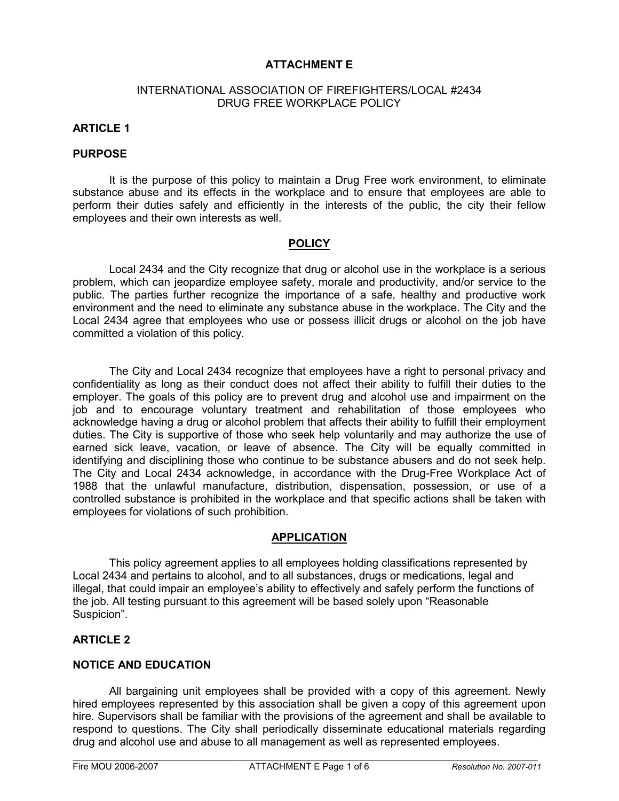## ATTACHMENT E

#### INTERNATIONAL ASSOCIATION OF FIREFIGHTERS/LOCAL #2434 DRUG FREE WORKPLACE POLICY

## ARTICLE 1

#### PURPOSE

It is the purpose of this policy to maintain a Drug Free work environment, to eliminate substance abuse and its effects in the workplace and to ensure that employees are able to perform their duties safely and efficiently in the interests of the public, the city their fellow employees and their own interests as well.

## **POLICY**

Local 2434 and the City recognize that drug or alcohol use in the workplace is a serious problem, which can jeopardize employee safety, morale and productivity, and/or service to the public. The parties further recognize the importance of a safe, healthy and productive work environment and the need to eliminate any substance abuse in the workplace. The City and the Local 2434 agree that employees who use or possess illicit drugs or alcohol on the job have committed a violation of this policy.

 The City and Local 2434 recognize that employees have a right to personal privacy and confidentiality as long as their conduct does not affect their ability to fulfill their duties to the employer. The goals of this policy are to prevent drug and alcohol use and impairment on the job and to encourage voluntary treatment and rehabilitation of those employees who acknowledge having a drug or alcohol problem that affects their ability to fulfill their employment duties. The City is supportive of those who seek help voluntarily and may authorize the use of earned sick leave, vacation, or leave of absence. The City will be equally committed in identifying and disciplining those who continue to be substance abusers and do not seek help. The City and Local 2434 acknowledge, in accordance with the Drug-Free Workplace Act of 1988 that the unlawful manufacture, distribution, dispensation, possession, or use of a controlled substance is prohibited in the workplace and that specific actions shall be taken with employees for violations of such prohibition.

#### APPLICATION

 This policy agreement applies to all employees holding classifications represented by Local 2434 and pertains to alcohol, and to all substances, drugs or medications, legal and illegal, that could impair an employee's ability to effectively and safely perform the functions of the job. All testing pursuant to this agreement will be based solely upon "Reasonable Suspicion".

## ARTICLE 2

## NOTICE AND EDUCATION

 All bargaining unit employees shall be provided with a copy of this agreement. Newly hired employees represented by this association shall be given a copy of this agreement upon hire. Supervisors shall be familiar with the provisions of the agreement and shall be available to respond to questions. The City shall periodically disseminate educational materials regarding drug and alcohol use and abuse to all management as well as represented employees.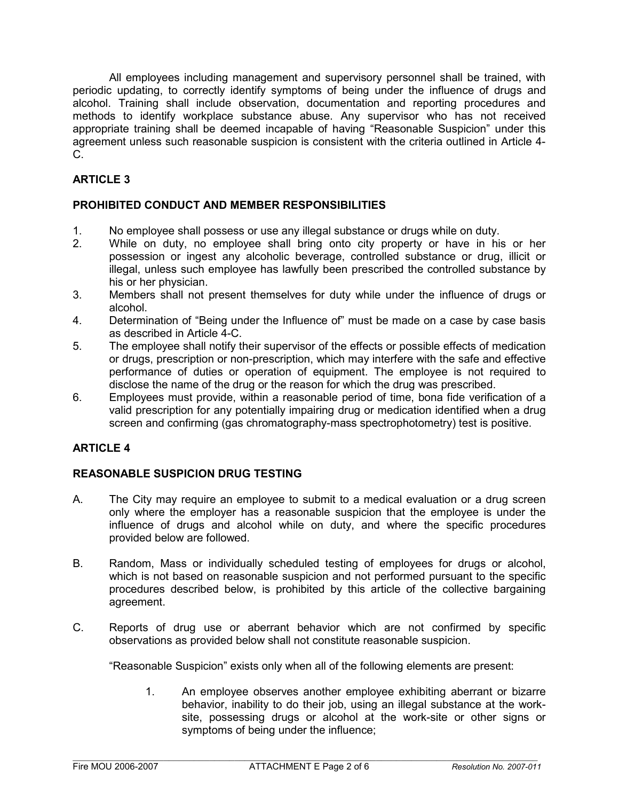All employees including management and supervisory personnel shall be trained, with periodic updating, to correctly identify symptoms of being under the influence of drugs and alcohol. Training shall include observation, documentation and reporting procedures and methods to identify workplace substance abuse. Any supervisor who has not received appropriate training shall be deemed incapable of having "Reasonable Suspicion" under this agreement unless such reasonable suspicion is consistent with the criteria outlined in Article 4- C.

# ARTICLE 3

## PROHIBITED CONDUCT AND MEMBER RESPONSIBILITIES

- 1. No employee shall possess or use any illegal substance or drugs while on duty.
- 2. While on duty, no employee shall bring onto city property or have in his or her possession or ingest any alcoholic beverage, controlled substance or drug, illicit or illegal, unless such employee has lawfully been prescribed the controlled substance by his or her physician.
- 3. Members shall not present themselves for duty while under the influence of drugs or alcohol.
- 4. Determination of "Being under the Influence of" must be made on a case by case basis as described in Article 4-C.
- 5. The employee shall notify their supervisor of the effects or possible effects of medication or drugs, prescription or non-prescription, which may interfere with the safe and effective performance of duties or operation of equipment. The employee is not required to disclose the name of the drug or the reason for which the drug was prescribed.
- 6. Employees must provide, within a reasonable period of time, bona fide verification of a valid prescription for any potentially impairing drug or medication identified when a drug screen and confirming (gas chromatography-mass spectrophotometry) test is positive.

# ARTICLE 4

# REASONABLE SUSPICION DRUG TESTING

- A. The City may require an employee to submit to a medical evaluation or a drug screen only where the employer has a reasonable suspicion that the employee is under the influence of drugs and alcohol while on duty, and where the specific procedures provided below are followed.
- B. Random, Mass or individually scheduled testing of employees for drugs or alcohol, which is not based on reasonable suspicion and not performed pursuant to the specific procedures described below, is prohibited by this article of the collective bargaining agreement.
- C. Reports of drug use or aberrant behavior which are not confirmed by specific observations as provided below shall not constitute reasonable suspicion.

"Reasonable Suspicion" exists only when all of the following elements are present:

1. An employee observes another employee exhibiting aberrant or bizarre behavior, inability to do their job, using an illegal substance at the worksite, possessing drugs or alcohol at the work-site or other signs or symptoms of being under the influence;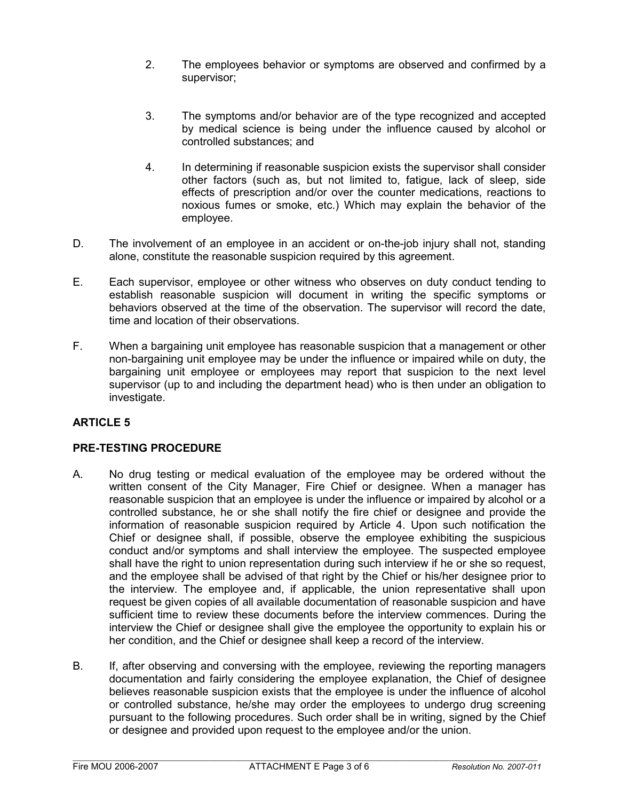- 2. The employees behavior or symptoms are observed and confirmed by a supervisor;
- 3. The symptoms and/or behavior are of the type recognized and accepted by medical science is being under the influence caused by alcohol or controlled substances; and
- 4. In determining if reasonable suspicion exists the supervisor shall consider other factors (such as, but not limited to, fatigue, lack of sleep, side effects of prescription and/or over the counter medications, reactions to noxious fumes or smoke, etc.) Which may explain the behavior of the employee.
- D. The involvement of an employee in an accident or on-the-job injury shall not, standing alone, constitute the reasonable suspicion required by this agreement.
- E. Each supervisor, employee or other witness who observes on duty conduct tending to establish reasonable suspicion will document in writing the specific symptoms or behaviors observed at the time of the observation. The supervisor will record the date, time and location of their observations.
- F. When a bargaining unit employee has reasonable suspicion that a management or other non-bargaining unit employee may be under the influence or impaired while on duty, the bargaining unit employee or employees may report that suspicion to the next level supervisor (up to and including the department head) who is then under an obligation to investigate.

# ARTICLE 5

## PRE-TESTING PROCEDURE

- A. No drug testing or medical evaluation of the employee may be ordered without the written consent of the City Manager, Fire Chief or designee. When a manager has reasonable suspicion that an employee is under the influence or impaired by alcohol or a controlled substance, he or she shall notify the fire chief or designee and provide the information of reasonable suspicion required by Article 4. Upon such notification the Chief or designee shall, if possible, observe the employee exhibiting the suspicious conduct and/or symptoms and shall interview the employee. The suspected employee shall have the right to union representation during such interview if he or she so request, and the employee shall be advised of that right by the Chief or his/her designee prior to the interview. The employee and, if applicable, the union representative shall upon request be given copies of all available documentation of reasonable suspicion and have sufficient time to review these documents before the interview commences. During the interview the Chief or designee shall give the employee the opportunity to explain his or her condition, and the Chief or designee shall keep a record of the interview.
- B. If, after observing and conversing with the employee, reviewing the reporting managers documentation and fairly considering the employee explanation, the Chief of designee believes reasonable suspicion exists that the employee is under the influence of alcohol or controlled substance, he/she may order the employees to undergo drug screening pursuant to the following procedures. Such order shall be in writing, signed by the Chief or designee and provided upon request to the employee and/or the union.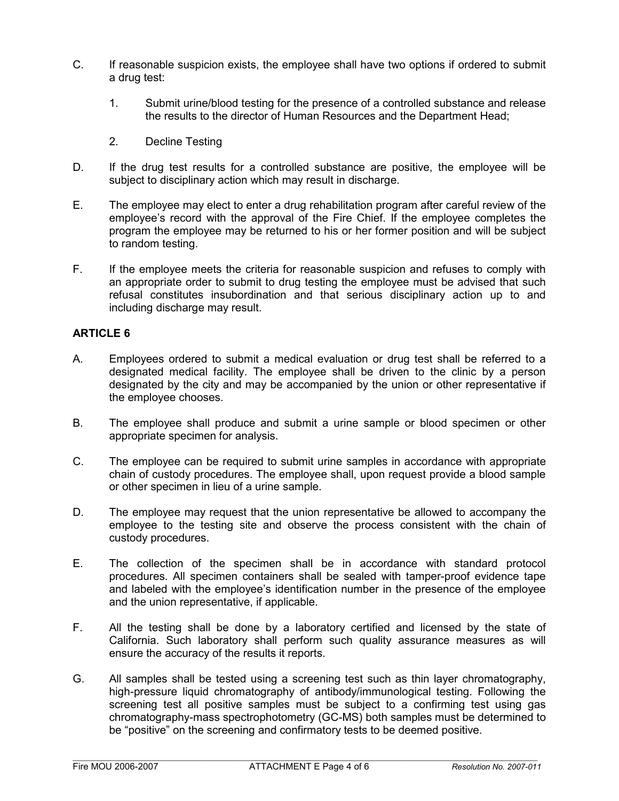- C. If reasonable suspicion exists, the employee shall have two options if ordered to submit a drug test:
	- 1. Submit urine/blood testing for the presence of a controlled substance and release the results to the director of Human Resources and the Department Head;
	- 2. Decline Testing
- D. If the drug test results for a controlled substance are positive, the employee will be subject to disciplinary action which may result in discharge.
- E. The employee may elect to enter a drug rehabilitation program after careful review of the employee's record with the approval of the Fire Chief. If the employee completes the program the employee may be returned to his or her former position and will be subject to random testing.
- F. If the employee meets the criteria for reasonable suspicion and refuses to comply with an appropriate order to submit to drug testing the employee must be advised that such refusal constitutes insubordination and that serious disciplinary action up to and including discharge may result.

## ARTICLE 6

- A. Employees ordered to submit a medical evaluation or drug test shall be referred to a designated medical facility. The employee shall be driven to the clinic by a person designated by the city and may be accompanied by the union or other representative if the employee chooses.
- B. The employee shall produce and submit a urine sample or blood specimen or other appropriate specimen for analysis.
- C. The employee can be required to submit urine samples in accordance with appropriate chain of custody procedures. The employee shall, upon request provide a blood sample or other specimen in lieu of a urine sample.
- D. The employee may request that the union representative be allowed to accompany the employee to the testing site and observe the process consistent with the chain of custody procedures.
- E. The collection of the specimen shall be in accordance with standard protocol procedures. All specimen containers shall be sealed with tamper-proof evidence tape and labeled with the employee's identification number in the presence of the employee and the union representative, if applicable.
- F. All the testing shall be done by a laboratory certified and licensed by the state of California. Such laboratory shall perform such quality assurance measures as will ensure the accuracy of the results it reports.
- G. All samples shall be tested using a screening test such as thin layer chromatography, high-pressure liquid chromatography of antibody/immunological testing. Following the screening test all positive samples must be subject to a confirming test using gas chromatography-mass spectrophotometry (GC-MS) both samples must be determined to be "positive" on the screening and confirmatory tests to be deemed positive.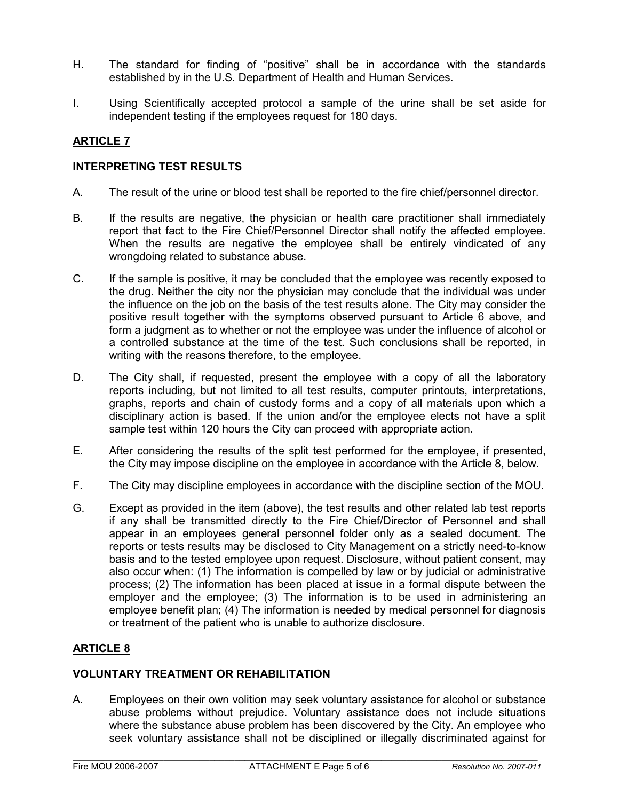- H. The standard for finding of "positive" shall be in accordance with the standards established by in the U.S. Department of Health and Human Services.
- I. Using Scientifically accepted protocol a sample of the urine shall be set aside for independent testing if the employees request for 180 days.

## ARTICLE 7

#### INTERPRETING TEST RESULTS

- A. The result of the urine or blood test shall be reported to the fire chief/personnel director.
- B. If the results are negative, the physician or health care practitioner shall immediately report that fact to the Fire Chief/Personnel Director shall notify the affected employee. When the results are negative the employee shall be entirely vindicated of any wrongdoing related to substance abuse.
- C. If the sample is positive, it may be concluded that the employee was recently exposed to the drug. Neither the city nor the physician may conclude that the individual was under the influence on the job on the basis of the test results alone. The City may consider the positive result together with the symptoms observed pursuant to Article 6 above, and form a judgment as to whether or not the employee was under the influence of alcohol or a controlled substance at the time of the test. Such conclusions shall be reported, in writing with the reasons therefore, to the employee.
- D. The City shall, if requested, present the employee with a copy of all the laboratory reports including, but not limited to all test results, computer printouts, interpretations, graphs, reports and chain of custody forms and a copy of all materials upon which a disciplinary action is based. If the union and/or the employee elects not have a split sample test within 120 hours the City can proceed with appropriate action.
- E. After considering the results of the split test performed for the employee, if presented, the City may impose discipline on the employee in accordance with the Article 8, below.
- F. The City may discipline employees in accordance with the discipline section of the MOU.
- G. Except as provided in the item (above), the test results and other related lab test reports if any shall be transmitted directly to the Fire Chief/Director of Personnel and shall appear in an employees general personnel folder only as a sealed document. The reports or tests results may be disclosed to City Management on a strictly need-to-know basis and to the tested employee upon request. Disclosure, without patient consent, may also occur when: (1) The information is compelled by law or by judicial or administrative process; (2) The information has been placed at issue in a formal dispute between the employer and the employee; (3) The information is to be used in administering an employee benefit plan; (4) The information is needed by medical personnel for diagnosis or treatment of the patient who is unable to authorize disclosure.

# ARTICLE 8

#### VOLUNTARY TREATMENT OR REHABILITATION

A. Employees on their own volition may seek voluntary assistance for alcohol or substance abuse problems without prejudice. Voluntary assistance does not include situations where the substance abuse problem has been discovered by the City. An employee who seek voluntary assistance shall not be disciplined or illegally discriminated against for